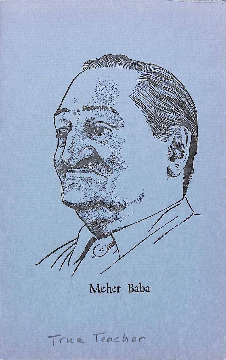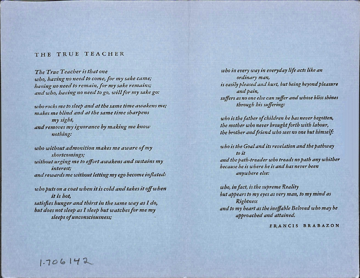## THE TRUE TEACHER

The True Teacher is that one who, having no need to come, for my sake came; having no need to remain, for my sake remains; and who, having no need to go, will for my sake go;

who rocks me to sleep and at the same time awakens me; makes me blind and at the same time sharpens my sight, and removes my ignorance by making me know nothing:

who without admonition makes me aware of my shortcomings; without urging me to effort awakens and sustains my interest; and rewards me without letting my ego become inflated;

who puts on a coat when it is cold and takes it off when it is hot, satisfies hunger and thirst in the same way as I do, but does not sleep as I sleep but watches for me my sleeps of unconsciousness;

who in every ivay in everyday life acts like an ordinary man, is easily pleased and hurt, but being beyond pleasure and pain, suffers as no one else can suffer and whose bliss shines through his suffering;

who is the father of children he has never begotten, the mother who never brought forth with labour, the brother and friend who sees no one hut himself:

who is the Goal and its revelation and the pathway to it and the path-treader who treads no path any whither because he is where he is and has never been anywhere else;

who, infact, is the supreme Reality hut appears to my eyes as very man, to my mind as Rightness and to my heart as the ineffable Beloved who may he approached and attained.

FRANCIS BRABAZON

 $1 - 706142$